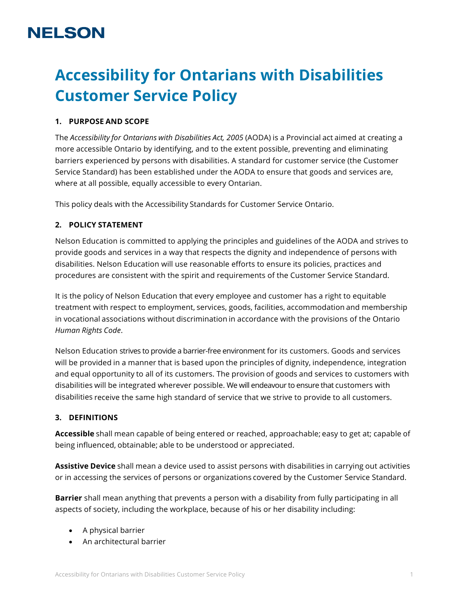# **NELSON**

# **Accessibility for Ontarians with Disabilities Customer Service Policy**

# **1. PURPOSE AND SCOPE**

The *Accessibility for Ontarians with Disabilities Act, 2005* (AODA) is a Provincial act aimed at creating a more accessible Ontario by identifying, and to the extent possible, preventing and eliminating barriers experienced by persons with disabilities. A standard for customer service (the Customer Service Standard) has been established under the AODA to ensure that goods and services are, where at all possible, equally accessible to every Ontarian.

This policy deals with the Accessibility Standards for Customer Service Ontario.

## **2. POLICY STATEMENT**

Nelson Education is committed to applying the principles and guidelines of the AODA and strives to provide goods and services in a way that respects the dignity and independence of persons with disabilities. Nelson Education will use reasonable efforts to ensure its policies, practices and procedures are consistent with the spirit and requirements of the Customer Service Standard.

It is the policy of Nelson Education that every employee and customer has a right to equitable treatment with respect to employment, services, goods, facilities, accommodation and membership in vocational associations without discrimination in accordance with the provisions of the Ontario *Human Rights Code*.

Nelson Education strives to provide a barrier-free environment for its customers. Goods and services will be provided in a manner that is based upon the principles of dignity, independence, integration and equal opportunity to all of its customers. The provision of goods and services to customers with disabilities will be integrated wherever possible. We will endeavour to ensure that customers with disabilities receive the same high standard of service that we strive to provide to all customers.

#### **3. DEFINITIONS**

**Accessible** shall mean capable of being entered or reached, approachable; easy to get at; capable of being influenced, obtainable; able to be understood or appreciated.

**Assistive Device** shall mean a device used to assist persons with disabilities in carrying out activities or in accessing the services of persons or organizations covered by the Customer Service Standard.

**Barrier** shall mean anything that prevents a person with a disability from fully participating in all aspects of society, including the workplace, because of his or her disability including:

- A physical barrier
- An architectural barrier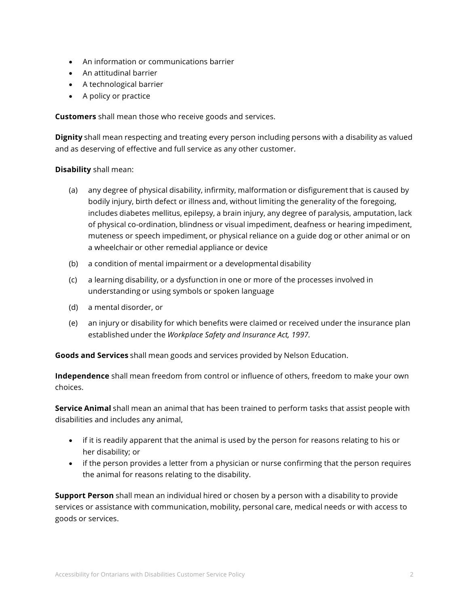- An information or communications barrier
- An attitudinal barrier
- A technological barrier
- A policy or practice

**Customers** shall mean those who receive goods and services.

**Dignity** shall mean respecting and treating every person including persons with a disability as valued and as deserving of effective and full service as any other customer.

# **Disability** shall mean:

- (a) any degree of physical disability, infirmity, malformation or disfigurement that is caused by bodily injury, birth defect or illness and, without limiting the generality of the foregoing, includes diabetes mellitus, epilepsy, a brain injury, any degree of paralysis, amputation, lack of physical co-ordination, blindness or visual impediment, deafness or hearing impediment, muteness or speech impediment, or physical reliance on a guide dog or other animal or on a wheelchair or other remedial appliance or device
- (b) a condition of mental impairment or a developmental disability
- (c) a learning disability, or a dysfunction in one or more of the processes involved in understanding or using symbols or spoken language
- (d) a mental disorder, or
- (e) an injury or disability for which benefits were claimed or received under the insurance plan established under the *Workplace Safety and Insurance Act, 1997.*

**Goods and Services** shall mean goods and services provided by Nelson Education.

**Independence** shall mean freedom from control or influence of others, freedom to make your own choices.

**Service Animal** shall mean an animal that has been trained to perform tasks that assist people with disabilities and includes any animal,

- if it is readily apparent that the animal is used by the person for reasons relating to his or her disability; or
- if the person provides a letter from a physician or nurse confirming that the person requires the animal for reasons relating to the disability.

**Support Person** shall mean an individual hired or chosen by a person with a disability to provide services or assistance with communication, mobility, personal care, medical needs or with access to goods or services.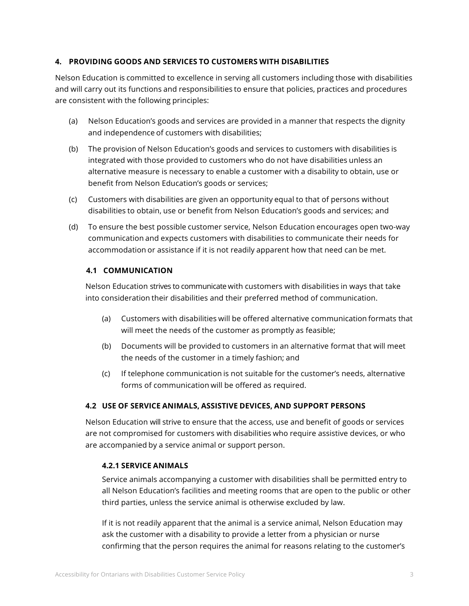# **4. PROVIDING GOODS AND SERVICES TO CUSTOMERS WITH DISABILITIES**

Nelson Education is committed to excellence in serving all customers including those with disabilities and will carry out its functions and responsibilities to ensure that policies, practices and procedures are consistent with the following principles:

- (a) Nelson Education's goods and services are provided in a manner that respects the dignity and independence of customers with disabilities;
- (b) The provision of Nelson Education's goods and services to customers with disabilities is integrated with those provided to customers who do not have disabilities unless an alternative measure is necessary to enable a customer with a disability to obtain, use or benefit from Nelson Education's goods or services;
- (c) Customers with disabilities are given an opportunity equal to that of persons without disabilities to obtain, use or benefit from Nelson Education's goods and services; and
- (d) To ensure the best possible customer service, Nelson Education encourages open two-way communication and expects customers with disabilities to communicate their needs for accommodation or assistance if it is not readily apparent how that need can be met.

# **4.1 COMMUNICATION**

Nelson Education strives to communicatewith customers with disabilities in ways that take into consideration their disabilities and their preferred method of communication.

- (a) Customers with disabilities will be offered alternative communication formats that will meet the needs of the customer as promptly as feasible;
- (b) Documents will be provided to customers in an alternative format that will meet the needs of the customer in a timely fashion; and
- (c) If telephone communication is not suitable for the customer's needs, alternative forms of communication will be offered as required.

# **4.2 USE OF SERVICE ANIMALS, ASSISTIVE DEVICES, AND SUPPORT PERSONS**

Nelson Education will strive to ensure that the access, use and benefit of goods or services are not compromised for customers with disabilities who require assistive devices, or who are accompanied by a service animal or support person.

## **4.2.1 SERVICE ANIMALS**

Service animals accompanying a customer with disabilities shall be permitted entry to all Nelson Education's facilities and meeting rooms that are open to the public or other third parties, unless the service animal is otherwise excluded by law.

If it is not readily apparent that the animal is a service animal, Nelson Education may ask the customer with a disability to provide a letter from a physician or nurse confirming that the person requires the animal for reasons relating to the customer's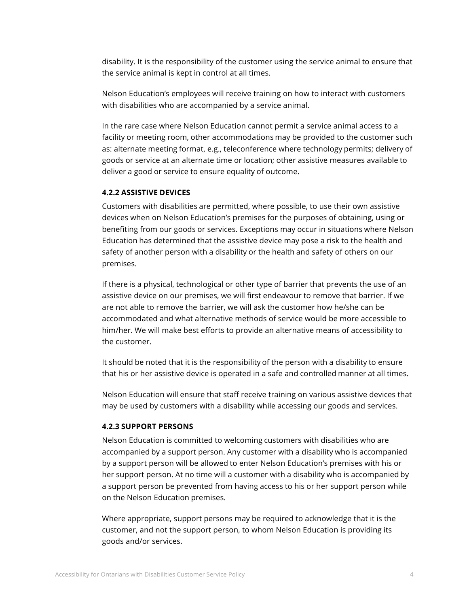disability. It is the responsibility of the customer using the service animal to ensure that the service animal is kept in control at all times.

Nelson Education's employees will receive training on how to interact with customers with disabilities who are accompanied by a service animal.

In the rare case where Nelson Education cannot permit a service animal access to a facility or meeting room, other accommodations may be provided to the customer such as: alternate meeting format, e.g., teleconference where technology permits; delivery of goods or service at an alternate time or location; other assistive measures available to deliver a good or service to ensure equality of outcome.

#### **4.2.2 ASSISTIVE DEVICES**

Customers with disabilities are permitted, where possible, to use their own assistive devices when on Nelson Education's premises for the purposes of obtaining, using or benefiting from our goods or services. Exceptions may occur in situations where Nelson Education has determined that the assistive device may pose a risk to the health and safety of another person with a disability or the health and safety of others on our premises.

If there is a physical, technological or other type of barrier that prevents the use of an assistive device on our premises, we will first endeavour to remove that barrier. If we are not able to remove the barrier, we will ask the customer how he/she can be accommodated and what alternative methods of service would be more accessible to him/her. We will make best efforts to provide an alternative means of accessibility to the customer.

It should be noted that it is the responsibility of the person with a disability to ensure that his or her assistive device is operated in a safe and controlled manner at all times.

Nelson Education will ensure that staff receive training on various assistive devices that may be used by customers with a disability while accessing our goods and services.

#### **4.2.3 SUPPORT PERSONS**

Nelson Education is committed to welcoming customers with disabilities who are accompanied by a support person. Any customer with a disability who is accompanied by a support person will be allowed to enter Nelson Education's premises with his or her support person. At no time will a customer with a disability who is accompanied by a support person be prevented from having access to his or her support person while on the Nelson Education premises.

Where appropriate, support persons may be required to acknowledge that it is the customer, and not the support person, to whom Nelson Education is providing its goods and/or services.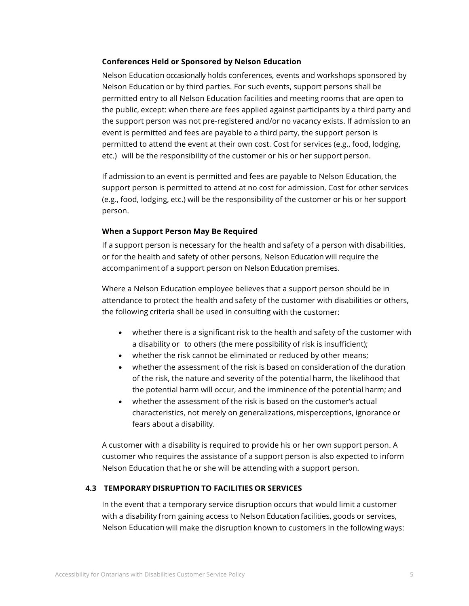#### **Conferences Held or Sponsored by Nelson Education**

Nelson Education occasionally holds conferences, events and workshops sponsored by Nelson Education or by third parties. For such events, support persons shall be permitted entry to all Nelson Education facilities and meeting rooms that are open to the public, except: when there are fees applied against participants by a third party and the support person was not pre-registered and/or no vacancy exists. If admission to an event is permitted and fees are payable to a third party, the support person is permitted to attend the event at their own cost. Cost for services (e.g., food, lodging, etc.) will be the responsibility of the customer or his or her support person.

If admission to an event is permitted and fees are payable to Nelson Education, the support person is permitted to attend at no cost for admission. Cost for other services (e.g., food, lodging, etc.) will be the responsibility of the customer or his or her support person.

#### **When a Support Person May Be Required**

If a support person is necessary for the health and safety of a person with disabilities, or for the health and safety of other persons, Nelson Education will require the accompaniment of a support person on Nelson Education premises.

Where a Nelson Education employee believes that a support person should be in attendance to protect the health and safety of the customer with disabilities or others, the following criteria shall be used in consulting with the customer:

- whether there is a significant risk to the health and safety of the customer with a disability or to others (the mere possibility of risk is insufficient);
- whether the risk cannot be eliminated or reduced by other means;
- whether the assessment of the risk is based on consideration of the duration of the risk, the nature and severity of the potential harm, the likelihood that the potential harm will occur, and the imminence of the potential harm; and
- whether the assessment of the risk is based on the customer's actual characteristics, not merely on generalizations, misperceptions, ignorance or fears about a disability.

A customer with a disability is required to provide his or her own support person. A customer who requires the assistance of a support person is also expected to inform Nelson Education that he or she will be attending with a support person.

## **4.3 TEMPORARY DISRUPTION TO FACILITIES OR SERVICES**

In the event that a temporary service disruption occurs that would limit a customer with a disability from gaining access to Nelson Education facilities, goods or services, Nelson Education will make the disruption known to customers in the following ways: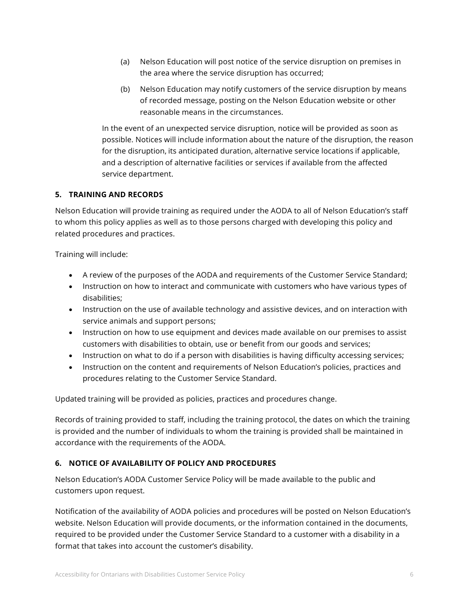- (a) Nelson Education will post notice of the service disruption on premises in the area where the service disruption has occurred;
- (b) Nelson Education may notify customers of the service disruption by means of recorded message, posting on the Nelson Education website or other reasonable means in the circumstances.

In the event of an unexpected service disruption, notice will be provided as soon as possible. Notices will include information about the nature of the disruption, the reason for the disruption, its anticipated duration, alternative service locations if applicable, and a description of alternative facilities or services if available from the affected service department.

# **5. TRAINING AND RECORDS**

Nelson Education will provide training as required under the AODA to all of Nelson Education's staff to whom this policy applies as well as to those persons charged with developing this policy and related procedures and practices.

Training will include:

- A review of the purposes of the AODA and requirements of the Customer Service Standard;
- Instruction on how to interact and communicate with customers who have various types of disabilities;
- Instruction on the use of available technology and assistive devices, and on interaction with service animals and support persons;
- Instruction on how to use equipment and devices made available on our premises to assist customers with disabilities to obtain, use or benefit from our goods and services;
- Instruction on what to do if a person with disabilities is having difficulty accessing services;
- Instruction on the content and requirements of Nelson Education's policies, practices and procedures relating to the Customer Service Standard.

Updated training will be provided as policies, practices and procedures change.

Records of training provided to staff, including the training protocol, the dates on which the training is provided and the number of individuals to whom the training is provided shall be maintained in accordance with the requirements of the AODA.

# **6. NOTICE OF AVAILABILITY OF POLICY AND PROCEDURES**

Nelson Education's AODA Customer Service Policy will be made available to the public and customers upon request.

Notification of the availability of AODA policies and procedures will be posted on Nelson Education's website. Nelson Education will provide documents, or the information contained in the documents, required to be provided under the Customer Service Standard to a customer with a disability in a format that takes into account the customer's disability.